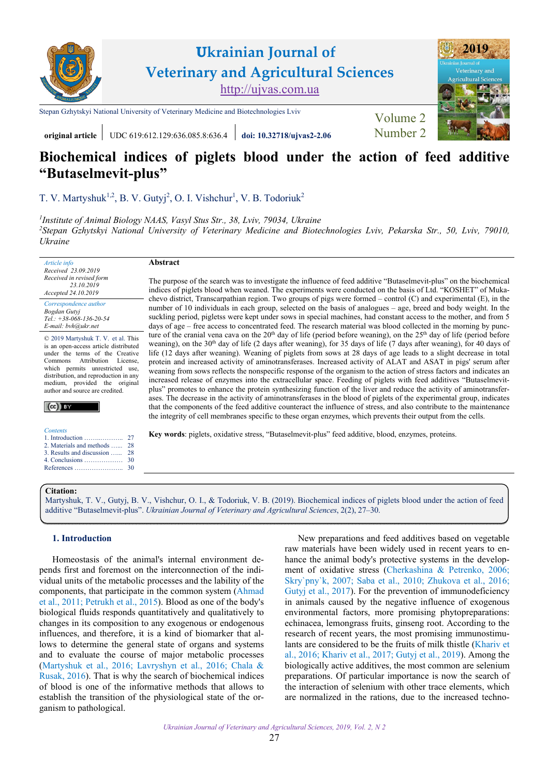

**original article** UDC 619:612.129:636.085.8:636.4 **[doi: 10.32718/ujvas2-2.06](https://doi.org/10.32718/ujvas2-2.06)** [Number 2](https://ujvas.com.ua/index.php/journal/issue/view/4)

# **Biochemical indices of piglets blood under the action of feed additive "Butaselmevit-plus"**

[T. V. Martyshuk](https://orcid.org/0000-0002-8445-1794)<sup>1,2</sup>[, B. V. Gutyj](https://orcid.org/0000-0002-5971-8776)<sup>2</sup>, [O. I. Vishchur](https://orcid.org/0000-0003-4503-3896)<sup>1</sup>[, V. B. Todoriuk](https://orcid.org/0000-0002-9902-0524)<sup>2</sup>

*1 І[nstitute of Animal Biology NAAS, Vasyl Stus Str., 38, Lviv, 79034, Ukraine](https://www.inenbiol.com) <sup>2</sup>[Stepan Gzhytskyi National University of Veterinary Medicine and Biotechnologies Lviv, Pekarska Str., 50, Lviv, 79010,](https://lvet.edu.ua) Ukraine* 

*Article info Received 23.09.2019 Received in revised form 23.10.2019 Accepted 24.10.2019* 

*Correspondence author [Bogdan Gutyj](https://scholar.google.com.ua/citations?user=YXvnxbYAAAAJ&hl) Tel.: +38-068-136-20-54 E-mail: bvh@ukr.net* 

© 2019 Martyshuk T. V. et al. This is an open-access article distributed under the terms of the Creative Commons Attribution License, which permits unrestricted use, distribution, and reproduction in any medium, provided the original author and source are credited.



| <b>Contents</b>               |  |
|-------------------------------|--|
|                               |  |
| 2. Materials and methods  28  |  |
| 3. Results and discussion  28 |  |
|                               |  |
|                               |  |

#### **Abstract**

The purpose of the search was to investigate the influence of feed additive "Butaselmevit-plus" on the biochemical indices of piglets blood when weaned. The experiments were conducted on the basis of Ltd. "KOSHET" of Mukachevo district, Transcarpathian region. Two groups of pigs were formed – control (C) and experimental (E), in the number of 10 individuals in each group, selected on the basis of analogues – age, breed and body weight. In the suckling period, pigletss were kept under sows in special machines, had constant access to the mother, and from 5 days of age – free access to concentrated feed. The research material was blood collected in the morning by puncture of the cranial vena cava on the  $20<sup>th</sup>$  day of life (period before weaning), on the  $25<sup>th</sup>$  day of life (period before weaning), on the 30<sup>th</sup> day of life (2 days after weaning), for 35 days of life (7 days after weaning), for 40 days of life (12 days after weaning). Weaning of piglets from sows at 28 days of age leads to a slight decrease in total protein and increased activity of aminotransferases. Increased activity of ALAT and ASAT in pigs' serum after weaning from sows reflects the nonspecific response of the organism to the action of stress factors and indicates an increased release of enzymes into the extracellular space. Feeding of piglets with feed additives "Butaselmevitplus" promotes to enhance the protein synthesizing function of the liver and reduce the activity of aminotransferases. The decrease in the activity of aminotransferases in the blood of piglets of the experimental group, indicates that the components of the feed additive counteract the influence of stress, and also contribute to the maintenance the integrity of cell membranes specific to these organ enzymes, which prevents their output from the cells.

**Key words**: piglets, oxidative stress, "Butaselmevit-plus" feed additive, blood, enzymes, proteins.

## **Citation:**

[Martyshuk, T. V., Gutyj, B. V., Vishchur, O. I., & Todoriuk, V. B. \(2019\). Biochemical indices of piglets blood under the action of feed](https://doi.org/10.32718/ujvas2-2.06) additive "Butaselmevit-plus". *Ukrainian Journal of Veterinary and Agricultural Sciences*, 2(2), 27–30.

## **1. Introduction**

Homeostasis of the animal's internal environment depends first and foremost on the interconnection of the individual units of the metabolic processes and the lability of the components, that participate in the common system ([Ahmad](#page-3-0) [et al., 2011](#page-3-0); [Petrukh et al., 2015](#page-3-0)). Blood as one of the body's biological fluids responds quantitatively and qualitatively to changes in its composition to any exogenous or endogenous influences, and therefore, it is a kind of biomarker that allows to determine the general state of organs and systems and to evaluate the course of major metabolic processes ([Martyshuk et al., 2016;](#page-3-0) [Lavryshyn et al., 2016;](#page-3-0) [Chala &](#page-3-0) [Rusak, 2016\)](#page-3-0). That is why the search of biochemical indices of blood is one of the informative methods that allows to establish the transition of the physiological state of the organism to pathological.

New preparations and feed additives based on vegetable raw materials have been widely used in recent years to enhance the animal body's protective systems in the development of oxidative stress ([Cherkashina & Petrenko, 2006;](#page-3-0) [Skry`pny`k, 2007;](#page-3-0) [Saba еt al., 2010](#page-3-0); [Zhukova et al., 2016](#page-3-0); [Gutyj et al., 2017](#page-3-0)). For the prevention of immunodeficiency in animals caused by the negative influence of exogenous environmental factors, more promising phytopreparations: echinacea, lemongrass fruits, ginseng root. According to the research of recent years, the most promising immunostimulants are considered to be the fruits of milk thistle [\(Khariv et](#page-3-0)  [al., 2016; Khariv et al., 2017](#page-3-0); [Gutyj et al., 2019\)](#page-3-0). Among the biologically active additives, the most common are selenium preparations. Of particular importance is now the search of the interaction of selenium with other trace elements, which are normalized in the rations, due to the increased techno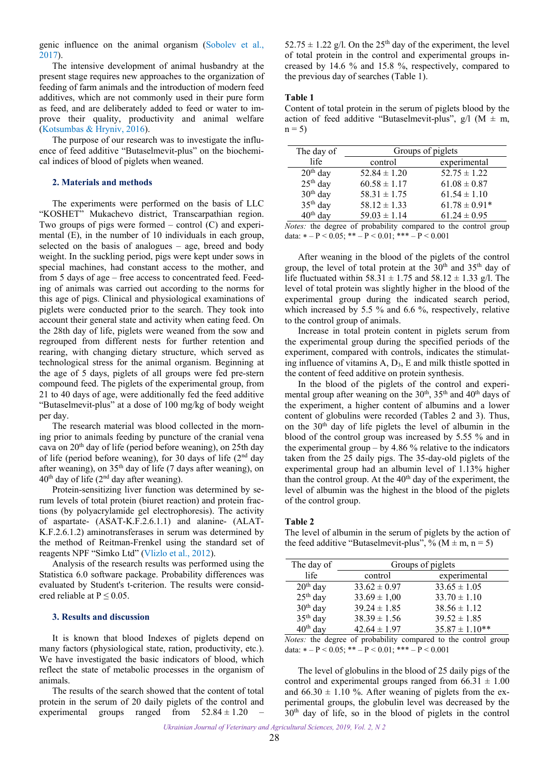<span id="page-1-0"></span>genic influence on the animal organism [\(Sobolev et al.,](#page-3-0) [2017\)](#page-3-0).

The intensive development of animal husbandry at the present stage requires new approaches to the organization of feeding of farm animals and the introduction of modern feed additives, which are not commonly used in their pure form as feed, and are deliberately added to feed or water to improve their quality, productivity and animal welfare ([Kotsumbas & Hryniv, 2016\)](#page-3-0).

The purpose of our research was to investigate the influence of feed additive "Butaselmevit-plus" on the biochemical indices of blood of piglets when weaned.

## **2. Materials and methods**

The experiments were performed on the basis of LLC "KOSHET" Mukachevo district, Transcarpathian region. Two groups of pigs were formed – control  $(C)$  and experimental (E), in the number of 10 individuals in each group, selected on the basis of analogues – age, breed and body weight. In the suckling period, pigs were kept under sows in special machines, had constant access to the mother, and from 5 days of age – free access to concentrated feed. Feeding of animals was carried out according to the norms for this age of pigs. Clinical and physiological examinations of piglets were conducted prior to the search. They took into account their general state and activity when eating feed. On the 28th day of life, piglets were weaned from the sow and regrouped from different nests for further retention and rearing, with changing dietary structure, which served as technological stress for the animal organism. Beginning at the age of 5 days, piglets of all groups were fed pre-stern compound feed. The piglets of the experimental group, from 21 to 40 days of age, were additionally fed the feed additive "Butaselmevit-plus" at a dose of 100 mg/kg of body weight per day.

The research material was blood collected in the morning prior to animals feeding by puncture of the cranial vena cava on  $20<sup>th</sup>$  day of life (period before weaning), on 25th day of life (period before weaning), for 30 days of life  $(2<sup>nd</sup>$  day after weaning), on  $35<sup>th</sup>$  day of life (7 days after weaning), on  $40<sup>th</sup>$  day of life ( $2<sup>nd</sup>$  day after weaning).

Protein-sensitizing liver function was determined by serum levels of total protein (biuret reaction) and protein fractions (by polyacrylamide gel electrophoresis). The activity of aspartate- (ASAT-K.F.2.6.1.1) and alanine- (ALAT-K.F.2.6.1.2) aminotransferases in serum was determined by the method of Reitman-Frenkel using the standard set of reagents NPF "Simko Ltd" [\(Vlizlo et al., 2012](#page-3-0)).

Analysis of the research results was performed using the Statistica 6.0 software package. Probability differences was evaluated by Student's t-criterion. The results were considered reliable at  $P \le 0.05$ .

## **3. Results and discussion**

It is known that blood Indexes of piglets depend on many factors (physiological state, ration, productivity, etc.). We have investigated the basic indicators of blood, which reflect the state of metabolic processes in the organism of animals.

The results of the search showed that the content of total protein in the serum of 20 daily piglets of the control and experimental groups ranged from  $52.84 \pm 1.20$ 

 $52.75 \pm 1.22$  g/l. On the 25<sup>th</sup> day of the experiment, the level of total protein in the control and experimental groups increased by 14.6 % and 15.8 %, respectively, compared to the previous day of searches (Table 1).

#### **Table 1**

Content of total protein in the serum of piglets blood by the action of feed additive "Butaselmevit-plus",  $g/l$  (M  $\pm$  m,  $n = 5$ 

| The day of           |                  | Groups of piglets |
|----------------------|------------------|-------------------|
| life                 | control          | experimental      |
| $20th$ day           | $52.84 \pm 1.20$ | $52.75 \pm 1.22$  |
| $25th$ day           | $60.58 \pm 1.17$ | $61.08 \pm 0.87$  |
| $30th$ day           | $58.31 \pm 1.75$ | $61.54 \pm 1.10$  |
| 35 <sup>th</sup> day | $58.12 \pm 1.33$ | $61.78 \pm 0.91*$ |
| $40th$ day           | $59.03 \pm 1.14$ | $61.24 \pm 0.95$  |

*Notes:* the degree of probability compared to the control group data:  $* - P < 0.05$ ;  $* * - P < 0.01$ ;  $* * * - P < 0.001$ 

After weaning in the blood of the piglets of the control group, the level of total protein at the  $30<sup>th</sup>$  and  $35<sup>th</sup>$  day of life fluctuated within 58.31  $\pm$  1.75 and 58.12  $\pm$  1.33 g/l. The level of total protein was slightly higher in the blood of the experimental group during the indicated search period, which increased by 5.5 % and 6.6 %, respectively, relative to the control group of animals.

Increase in total protein content in piglets serum from the experimental group during the specified periods of the experiment, compared with controls, indicates the stimulating influence of vitamins A, D3, E and milk thistle spotted in the content of feed additive on protein synthesis.

In the blood of the piglets of the control and experimental group after weaning on the 30<sup>th</sup>, 35<sup>th</sup> and 40<sup>th</sup> days of the experiment, a higher content of albumins and a lower content of globulins were recorded (Tables 2 and 3). Thus, on the 30th day of life piglets the level of albumin in the blood of the control group was increased by 5.55 % and in the experimental group – by 4.86  $\%$  relative to the indicators taken from the 25 daily pigs. The 35-day-old piglets of the experimental group had an albumin level of 1.13% higher than the control group. At the  $40<sup>th</sup>$  day of the experiment, the level of albumin was the highest in the blood of the piglets of the control group.

#### **Table 2**

The level of albumin in the serum of piglets by the action of the feed additive "Butaselmevit-plus", % ( $M \pm m$ , n = 5)

| The day of           | Groups of piglets |                    |
|----------------------|-------------------|--------------------|
| life                 | control           | experimental       |
| $20th$ day           | $33.62 \pm 0.97$  | $33.65 \pm 1.05$   |
| $25th$ day           | $33.69 \pm 1,00$  | $33.70 \pm 1.10$   |
| $30th$ day           | $39.24 \pm 1.85$  | $38.56 \pm 1.12$   |
| 35 <sup>th</sup> day | $38.39 \pm 1.56$  | $39.52 \pm 1.85$   |
| $40th$ day           | $42.64 \pm 1.97$  | $35.87 \pm 1.10**$ |
|                      |                   |                    |

*Notes:* the degree of probability compared to the control group data:  $* - P < 0.05$ ;  $* - P < 0.01$ ;  $* + - P < 0.001$ 

The level of globulins in the blood of 25 daily pigs of the control and experimental groups ranged from  $66.31 \pm 1.00$ and  $66.30 \pm 1.10$  %. After weaning of piglets from the experimental groups, the globulin level was decreased by the 30th day of life, so in the blood of piglets in the control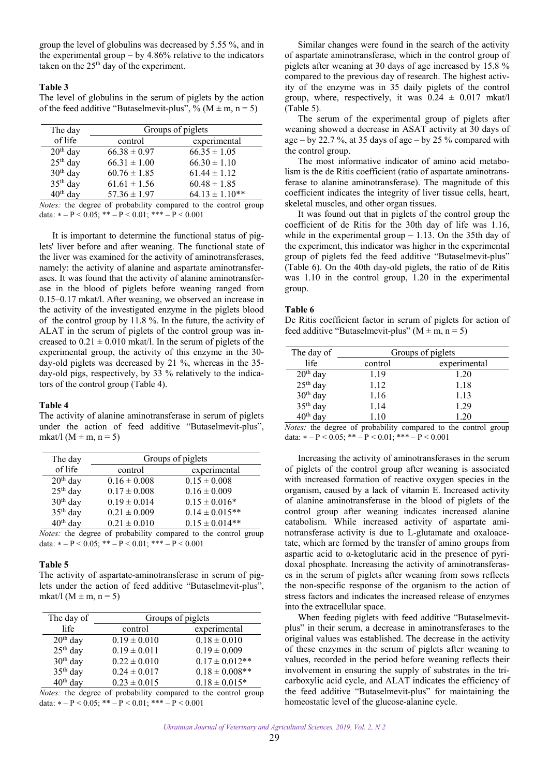group the level of globulins was decreased by 5.55 %, and in the experimental group – by 4.86% relative to the indicators taken on the 25<sup>th</sup> day of the experiment.

## **Table 3**

The level of globulins in the serum of piglets by the action of the feed additive "Butaselmevit-plus", % ( $M \pm m$ , n = 5)

| The day              | Groups of piglets |                                                                    |
|----------------------|-------------------|--------------------------------------------------------------------|
| of life              | control           | experimental                                                       |
| $20th$ day           | $66.38 \pm 0.97$  | $66.35 \pm 1.05$                                                   |
| $25th$ day           | $66.31 \pm 1.00$  | $66.30 \pm 1.10$                                                   |
| $30th$ day           | $60.76 \pm 1.85$  | $61.44 \pm 1.12$                                                   |
| 35 <sup>th</sup> day | $61.61 \pm 1.56$  | $60.48 \pm 1.85$                                                   |
| $40th$ day           | $57.36 \pm 1.97$  | $64.13 \pm 1.10**$                                                 |
|                      |                   | Matasi tha dagwar of mushahility aggregated to the control opening |

*Notes:* the degree of probability compared to the control group data:  $* - P < 0.05$ ;  $* * - P < 0.01$ ;  $* * * - P < 0.001$ 

It is important to determine the functional status of piglets' liver before and after weaning. The functional state of the liver was examined for the activity of aminotransferases, namely: the activity of alanine and aspartate aminotransferases. It was found that the activity of alanine aminotransferase in the blood of piglets before weaning ranged from 0.15–0.17 mkat/l. After weaning, we observed an increase in the activity of the investigated enzyme in the piglets blood of the control group by 11.8 %. In the future, the activity of ALAT in the serum of piglets of the control group was increased to  $0.21 \pm 0.010$  mkat/l. In the serum of piglets of the experimental group, the activity of this enzyme in the 30 day-old piglets was decreased by 21 %, whereas in the 35 day-old pigs, respectively, by 33 % relatively to the indicators of the control group (Table 4).

#### **Table 4**

The activity of alanine aminotransferase in serum of piglets under the action of feed additive "Butaselmevit-plus", mkat/l ( $M \pm m$ ,  $n = 5$ )

| The day              | Groups of piglets |                     |
|----------------------|-------------------|---------------------|
| of life              | control           | experimental        |
| $20th$ day           | $0.16 \pm 0.008$  | $0.15 \pm 0.008$    |
| $25th$ day           | $0.17 \pm 0.008$  | $0.16 \pm 0.009$    |
| 30 <sup>th</sup> day | $0.19 \pm 0.014$  | $0.15 \pm 0.016*$   |
| 35 <sup>th</sup> day | $0.21 \pm 0.009$  | $0.14 \pm 0.015**$  |
| 40 <sup>th</sup> day | $0.21 \pm 0.010$  | $0.15 \pm 0.014***$ |

*Notes:* the degree of probability compared to the control group data:  $* - P < 0.05$ ;  $** - P < 0.01$ ;  $*** - P < 0.001$ 

#### **Table 5**

The activity of aspartate-aminotransferase in serum of piglets under the action of feed additive "Butaselmevit-plus", mkat/l ( $M \pm m$ , n = 5)

| The day of           |                  | Groups of piglets   |
|----------------------|------------------|---------------------|
| life                 | control          | experimental        |
| $20th$ day           | $0.19 \pm 0.010$ | $0.18 \pm 0.010$    |
| $25th$ day           | $0.19 \pm 0.011$ | $0.19 \pm 0.009$    |
| 30 <sup>th</sup> day | $0.22 \pm 0.010$ | $0.17 \pm 0.012$ ** |
| $35th$ day           | $0.24 \pm 0.017$ | $0.18 \pm 0.008$ ** |
| 40 <sup>th</sup> day | $0.23 \pm 0.015$ | $0.18 \pm 0.015*$   |

*Notes:* the degree of probability compared to the control group data:  $* - P < 0.05$ ;  $** - P < 0.01$ ;  $*** - P < 0.001$ 

Similar changes were found in the search of the activity of aspartate aminotransferase, which in the control group of piglets after weaning at 30 days of age increased by 15.8 % compared to the previous day of research. The highest activity of the enzyme was in 35 daily piglets of the control group, where, respectively, it was  $0.24 \pm 0.017$  mkat/l (Table 5).

The serum of the experimental group of piglets after weaning showed a decrease in ASAT activity at 30 days of age – by 22.7 %, at 35 days of age – by 25 % compared with the control group.

The most informative indicator of amino acid metabolism is the de Ritis coefficient (ratio of aspartate aminotransferase to alanine aminotransferase). The magnitude of this coefficient indicates the integrity of liver tissue cells, heart, skeletal muscles, and other organ tissues.

It was found out that in piglets of the control group the coefficient of de Ritis for the 30th day of life was 1.16, while in the experimental group  $-1.13$ . On the 35th day of the experiment, this indicator was higher in the experimental group of piglets fed the feed additive "Butaselmevit-plus" (Table 6). On the 40th day-old piglets, the ratio of de Ritis was 1.10 in the control group, 1.20 in the experimental group.

### **Table 6**

De Ritis coefficient factor in serum of piglets for action of feed additive "Butaselmevit-plus" ( $M \pm m$ , n = 5)

| The day of           | Groups of piglets |              |
|----------------------|-------------------|--------------|
| life                 | control           | experimental |
| $20th$ day           | 1.19              | 1.20         |
| $25th$ day           | 1.12              | 1.18         |
| 30 <sup>th</sup> day | 1.16              | 1.13         |
| 35 <sup>th</sup> day | 1.14              | 1.29         |
| day                  | 1.10              | 1.20         |

*Notes:* the degree of probability compared to the control group data:  $* - P < 0.05$ ;  $** - P < 0.01$ ;  $*** - P < 0.001$ 

Increasing the activity of aminotransferases in the serum of piglets of the control group after weaning is associated with increased formation of reactive oxygen species in the organism, caused by a lack of vitamin E. Increased activity of alanine aminotransferase in the blood of piglets of the control group after weaning indicates increased alanine catabolism. While increased activity of aspartate aminotransferase activity is due to L-glutamate and oxaloacetate, which are formed by the transfer of amino groups from aspartic acid to  $\alpha$ -ketoglutaric acid in the presence of pyridoxal phosphate. Increasing the activity of aminotransferases in the serum of piglets after weaning from sows reflects the non-specific response of the organism to the action of stress factors and indicates the increased release of enzymes into the extracellular space.

When feeding piglets with feed additive "Butaselmevitplus" in their serum, a decrease in aminotransferases to the original values was established. The decrease in the activity of these enzymes in the serum of piglets after weaning to values, recorded in the period before weaning reflects their involvement in ensuring the supply of substrates in the tricarboxylic acid cycle, and ALAT indicates the efficiency of the feed additive "Butaselmevit-plus" for maintaining the homeostatic level of the glucose-alanine cycle.